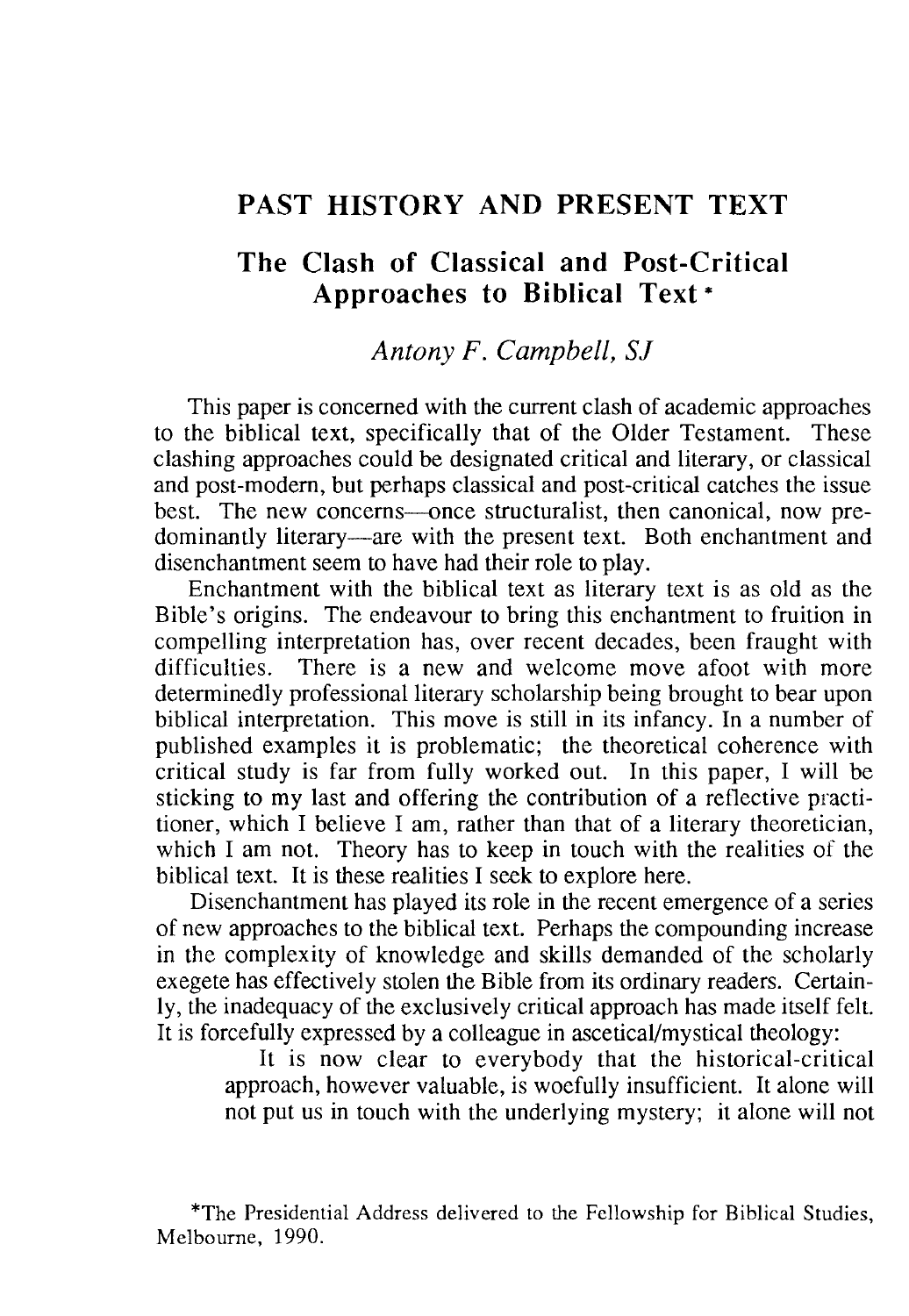# **PAST HISTORY AND PRESENT TEXT**

# **The Clash of Classical and Post-Critical Approaches to Biblical Text \***

# *Antony F. Camp bell, Sf*

This paper is concerned with the current clash of academic approaches<br>the hiblical text, specifically that of the Older Testament. These to the biblical text, specifically that of the Older Testament. clashing approaches could be designated critical and literary, or classical and post-modern, but perhaps classical and post-critical catches the issue best. The new concerns--once structuralist, then canonical, now predominantly literary—are with the present text. Both enchantment and disenchantment seem to have had their role to play.

Enchantment with the biblical text as literary text is as old as the Bible's origins. The endeavour to bring this enchantment to fruition in compelling interpretation has, over recent decades, been fraught with difficulties. There is a new and welcome move afoot with more determinedly professional literary scholarship being brought to bear upon biblical interpretation. This move is still in its infancy. In a number of published examples it is problematic; the theoretical coherence with critical study is far from fully worked out. In this paper, I will be sticking to my last and offering the contribution of a reflective practitioner, which I believe I am, rather than that of a literary theoretician, which I am not. Theory has to keep in touch with the realities of the biblical text. It is these realities I seek to explore here.

Disenchantment has played its role in the recent emergence of a series of new approaches to the biblical text. Perhaps the compounding increase in the complexity of knowledge and skills demanded of the scholarly exegete has effectively stolen the Bible from its ordinary readers. Certainly, the inadequacy of the exclusively critical approach has made itself felt. It is forcefully expressed by a colleague in ascetical/mystical theology:

It is now clear to everybody that the historical-critical approach, however valuable, is woefully insufficient. It alone will not put us in touch with the underlying mystery; it alone will not

<sup>\*</sup>The Presidential Address delivered to the Fellowship for Biblical Studies, Melbourne, 1990.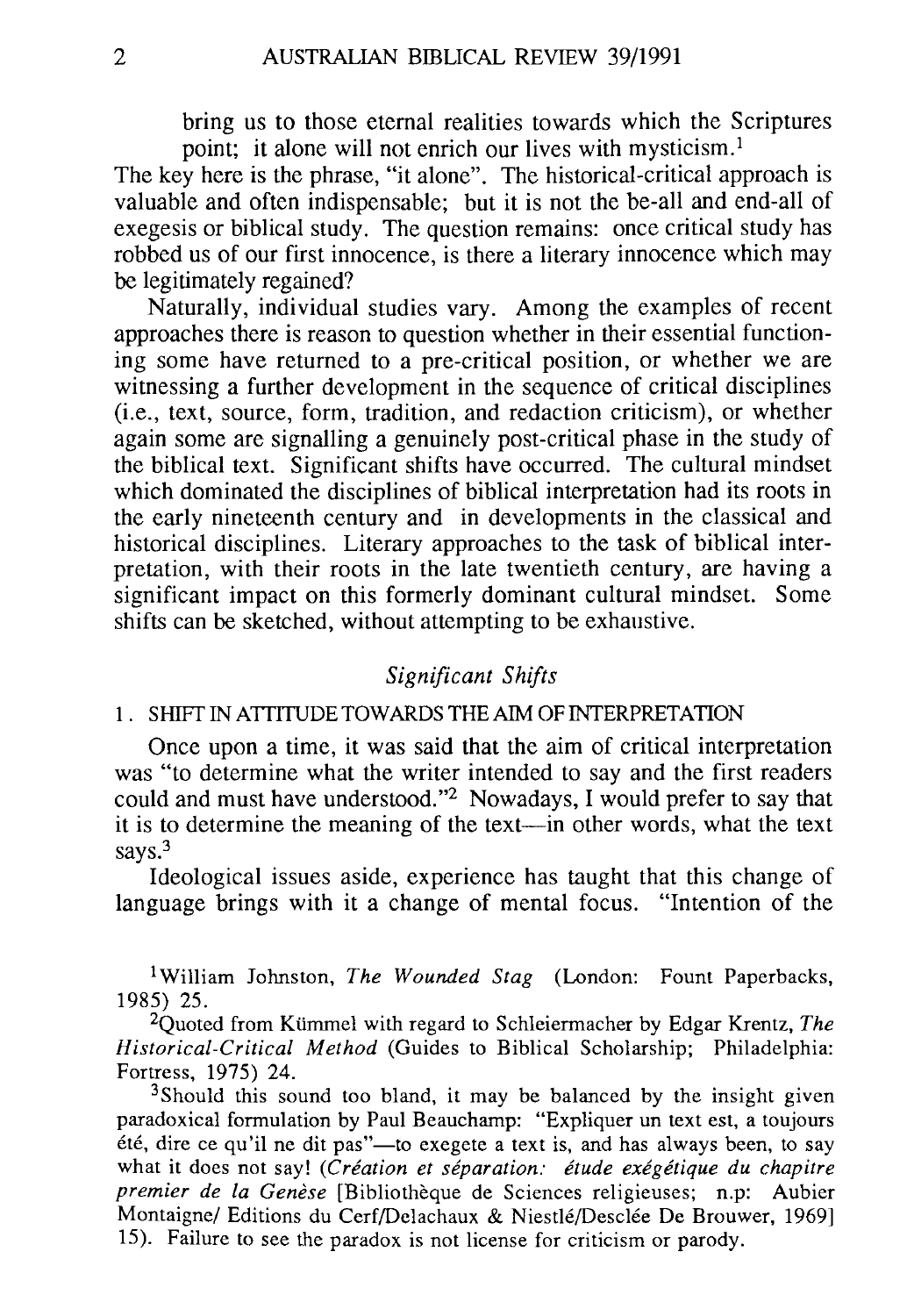bring us to those eternal realities towards which the Scriptures point; it alone will not enrich our lives with mysticism.<sup>1</sup>

The key here is the phrase, "it alone". The historical-critical approach is valuable and often indispensable; but it is not the be-all and end-all of exegesis or biblical study. The question remains: once critical study has robbed us of our first innocence, is there a literary innocence which may be legitimately regained?

Naturally, individual studies vary. Among the examples of recent approaches there is reason to question whether in their essential functioning some have returned to a pre-critical position, or whether we are witnessing a further development in the sequence of critical disciplines (i.e., text, source, form, tradition, and redaction criticism), or whether again some are signalling a genuinely post-critical phase in the study of the biblical text. Significant shifts have occurred. The cultural mindset which dominated the disciplines of biblical interpretation had its roots in the early nineteenth century and in developments in the classical and historical disciplines. Literary approaches to the task of biblical interpretation, with their roots in the late twentieth century, are having a significant impact on this formerly dominant cultural mindset. Some shifts can be sketched, without attempting to be exhaustive.

## *Significant Shifts*

#### 1. SHIFT IN ATTITUDE TOWARDS THE AIM OF INTERPRETATION

Once upon a time, it was said that the aim of critical interpretation was "to determine what the writer intended to say and the first readers could and must have understood."2 Nowadays, I would prefer to say that it is to determine the meaning of the text-in other words, what the text says.<sup>3</sup>

Ideological issues aside, experience has taught that this change of language brings with it a change of mental focus. "Intention of the

! William Johnston, *The Wounded Stag* (London: Fount Paperbacks, 1985) 25.

<sup>2</sup>Ouoted from Kümmel with regard to Schleiermacher by Edgar Krentz, *The Historical-Critical Method* (Guides to Biblical Scholarship; Philadelphia: Fortress, 1975) 24.

<sup>3</sup>Should this sound too bland, it may be balanced by the insight given paradoxical formulation by Paul Beauchamp: "Expliquer un text est, a toujours  $\acute{e}$ té, dire ce qu'il ne dit pas"—to exegete a text is, and has always been, to say what it does not say! *(Création et séparation: étude exégétique du chapitre premier de la Genese* [Bibliotheque de Sciences religieuses; n.p: Aubier Montaigne/ Editions du Cerf/Delachaux & Niestlé/Desclée De Brouwer, 1969] 15). Failure to see the paradox is not license for criticism or parody.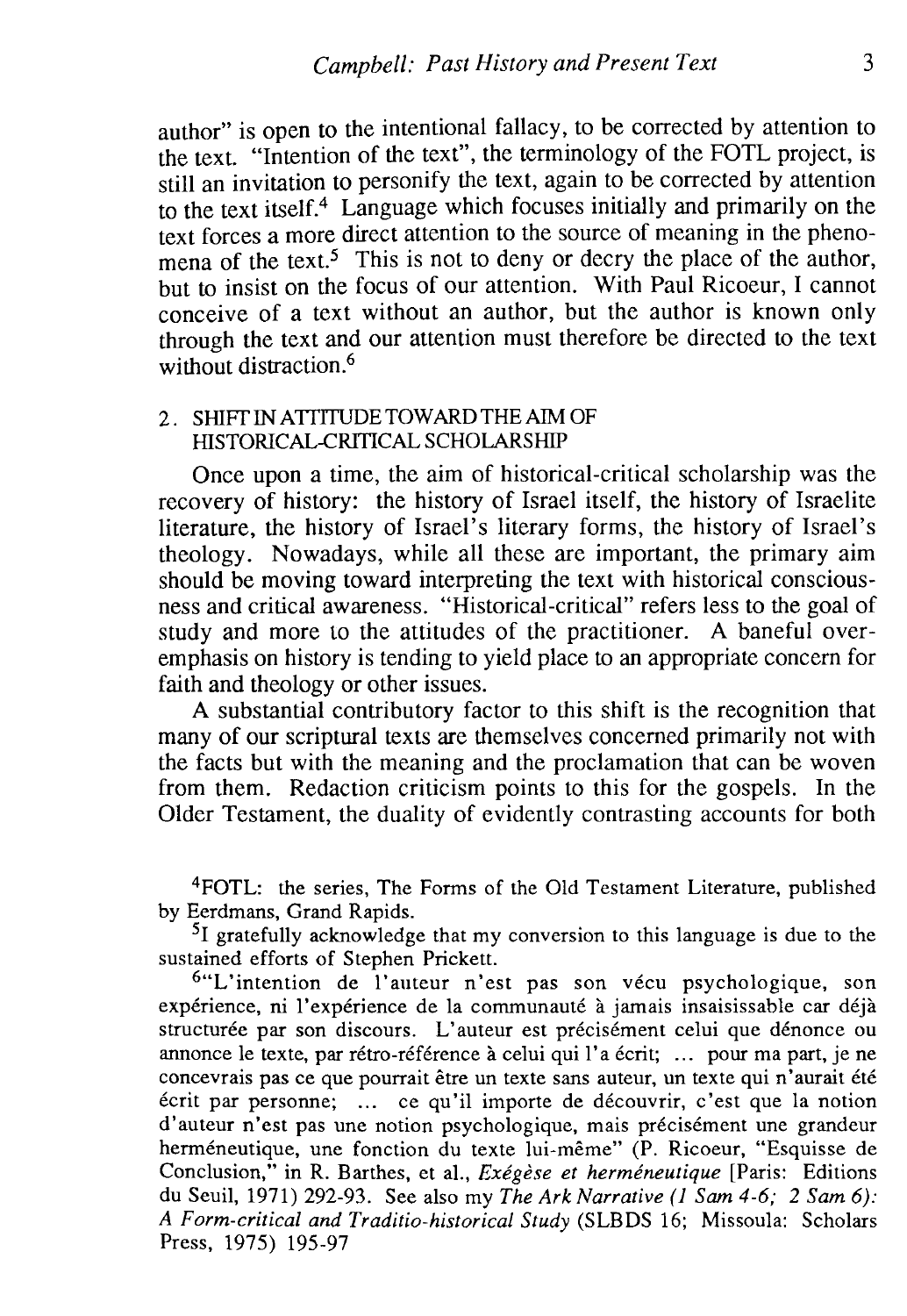author" is open to the intentional fallacy, to be corrected by attention to the text. "Intention of the text", the terminology of the FOTL project, is still an invitation to personify the text, again to be corrected by attention to the text itself.<sup>4</sup> Language which focuses initially and primarily on the text forces a more direct attention to the source of meaning in the phenomena of the text.<sup>5</sup> This is not to deny or decry the place of the author, but to insist on the focus of our attention. With Paul Ricoeur, I cannot conceive of a text without an author, but the author is known only through the text and our attention must therefore be directed to the text without distraction.<sup>6</sup>

### 2. SHIFT IN ATTITUDE TOWARD THE AIM OF HISTORICAL-CRITICAL SCHOLARSHIP

Once upon a time, the aim of historical-critical scholarship was the recovery of history: the history of Israel itself, the history of Israelite literature, the history of Israel's literary forms, the history of Israel's theology. Nowadays, while all these are important, the primary aim should be moving toward interpreting the text with historical consciousness and critical awareness. "Historical-critical" refers less to the goal of study and more to the attitudes of the practitioner. A baneful overemphasis on history is tending to yield place to an appropriate concern for faith and theology or other issues.

A substantial contributory factor to this shift is the recognition that many of our scriptural texts are themselves concerned primarily not with the facts but with the meaning and the proclamation that can be woven from them. Redaction criticism points to this for the gospels. In the Older Testament, the duality of evidently contrasting accounts for both

4FOTL: the series, The Forms of the Old Testament Literature, published by Eerdmans, Grand Rapids.

51 gratefully acknowledge that my conversion to this language is due to the sustained efforts of Stephen Prickett.

<sup>6"</sup>L'intention de l'auteur n'est pas son vécu psychologique, son expérience, ni l'expérience de la communauté à jamais insaisissable car déjà structurée par son discours. L'auteur est précisément celui que dénonce ou annonce le texte, par rétro-référence à celui qui l'a écrit; ... pour ma part, je ne concevrais pas ce que pourrait être un texte sans auteur, un texte qui n'aurait été ecrit par personne; ... ce qu'il importe de decouvrir, c'est que la notion d'auteur n'est pas une notion psychologique, mais precisement une grandeur herméneutique, une fonction du texte lui-même" (P. Ricoeur, "Esquisse de Conclusion," in R. Barthes, et aI., *Exegese et hermeneutique* [Paris: Editions du Seuil, 1971) 292-93. See also my *The Ark Narrative (l Sam* 4-6; 2 *Sam 6): A Form-critical and Traditio-historical Study* (SLBDS 16; Missoula: Scholars Press, 1975) 195-97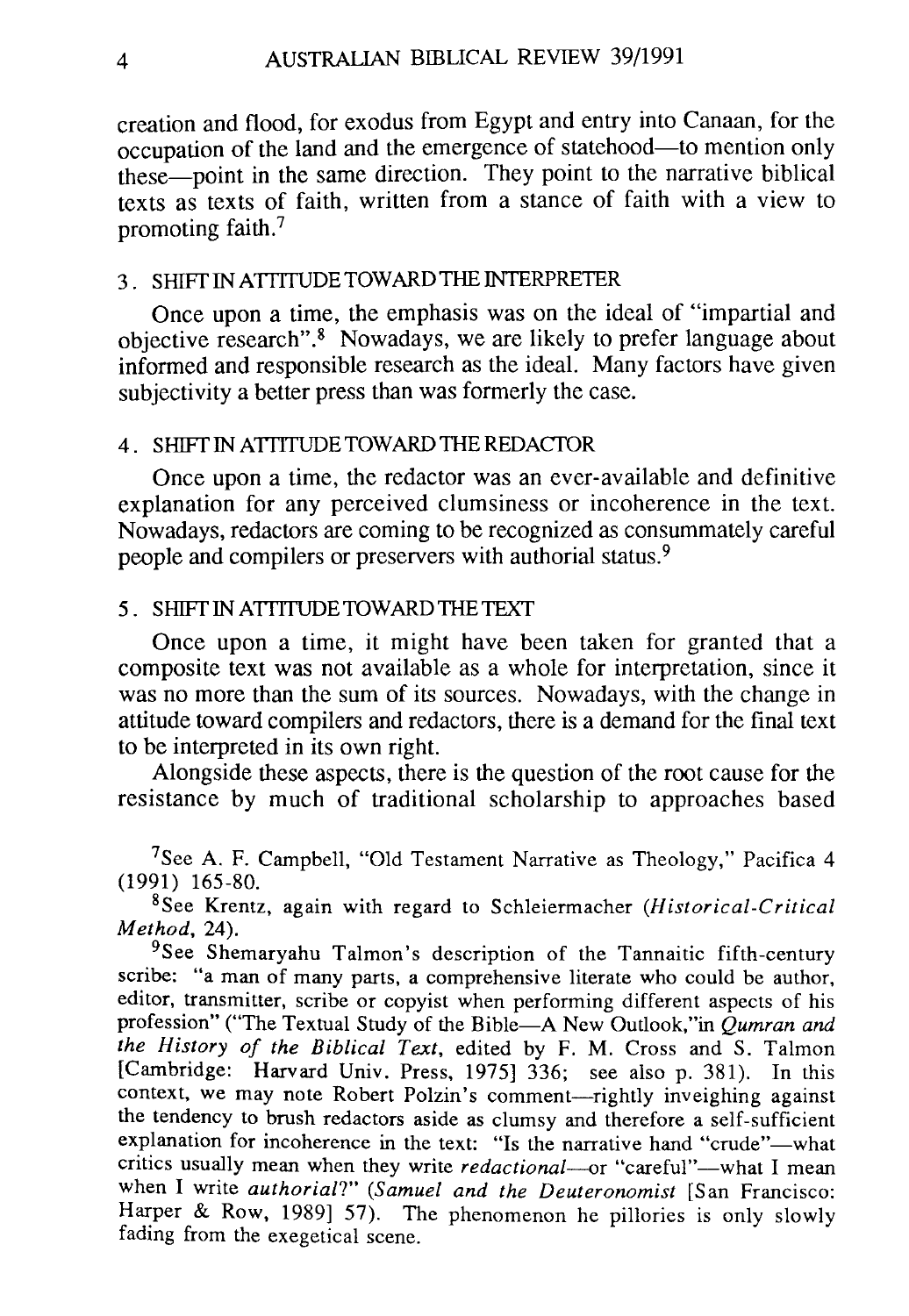creation and flood, for exodus from Egypt and entry into Canaan, for the occupation of the land and the emergence of statehood-to mention only these-point in the same direction. They point to the narrative biblical texts as texts of faith, written from a stance of faith with a view to promoting faith.7

# 3. SHIFT IN ATTITUDE TOWARD THE INTERPRETER

Once upon a time, the emphasis was on the ideal of "impartial and objective research". 8 Nowadays, we are likely to prefer language about informed and responsible research as the ideal. Many factors have given subjectivity a better press than was formerly the case.

### 4 SHIFT IN ATTITUDE TOWARD THE REDACTOR

Once upon a time, the redactor was an ever-available and definitive explanation for any perceived clumsiness or incoherence in the text. Nowadays, redactors are coming to be recognized as consummately careful people and compilers or preservers with authorial status.<sup>9</sup>

#### 5. SHIFT IN ATTITUDE TOWARD THE TEXT

Once upon a time, it might have been taken for granted that a composite text was not available as a whole for interpretation, since it was no more than the sum of its sources. Nowadays, with the change in attitude toward compilers and redactors, there is a demand for the final text to be interpreted in its own right.

Alongside these aspects, there is the question of the root cause for the resistance by much of traditional scholarship to approaches based

<sup>7</sup>See A. F. Campbell, "Old Testament Narrative as Theology," Pacifica 4 (1991) 165-80.

8See Krentz, again with regard to Schleiermacher *(Historical-Critical Method, 24).* 

 $9$  See Shemaryahu Talmon's description of the Tannaitic fifth-century scribe: "a man of many parts, a comprehensive literate who could be author, editor, transmitter, scribe or copyist when performing different aspects of his profession" ("The Textual Study of the Bible-A New Outlook,"in *Qumran and the History of the Biblical Text,* edited by F. M. Cross and S. Talmon [Cambridge: Harvard Univ. Press, 1975] 336; see also p. 381). In this context, we may note Robert Polzin's comment-rightly inveighing against the tendency to brush redactors aside as clumsy and therefore a self-sufficient explanation for incoherence in the text: "Is the narrative hand "crude"-what critics usually mean when they write *redactional*-or "careful"-what I mean when I write *authorial?"* (Samuel and the Deuteronomist [San Francisco: Harper & Row, 1989] 57). The phenomenon he pillories is only slowly fading from the exegetical scene.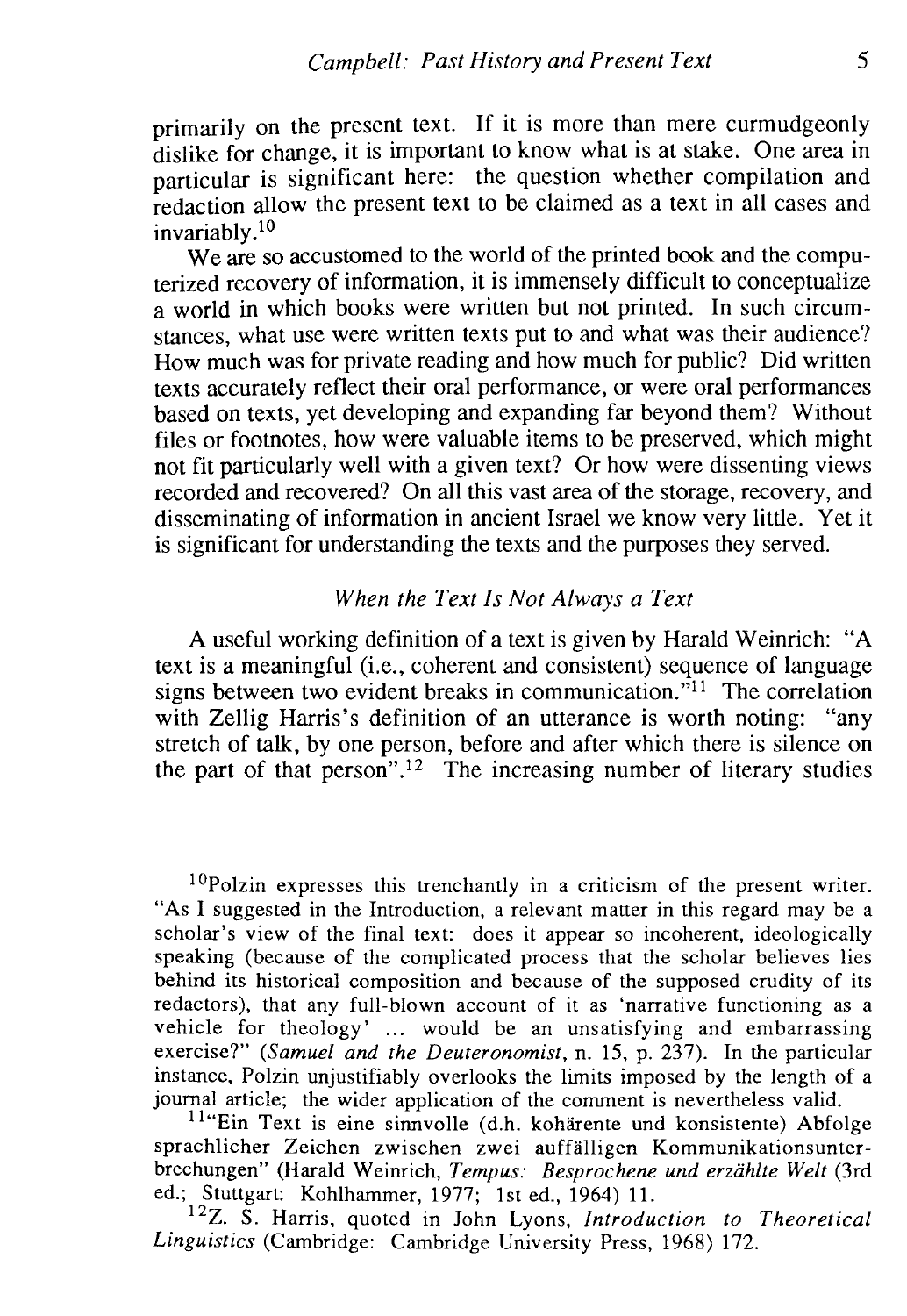primarily on the present text. If it is more than mere curmudgeonly dislike for change, it is important to know what is at stake. One area in particular is significant here: the question whether compilation and redaction allow the present text to be claimed as a text in all cases and invariably.<sup>10</sup>

We are so accustomed to the world of the printed book and the computerized recovery of information, it is immensely difficult to conceptualize a world in which books were written but not printed. In such circumstances, what use were written texts put to and what was their audience? How much was for private reading and how much for public? Did written texts accurately reflect their oral performance, or were oral performances based on texts, yet developing and expanding far beyond them? Without files or footnotes, how were valuable items to be preserved, which might not fit particularly well with a given text? Or how were dissenting views recorded and recovered? On all this vast area of the storage, recovery, and disseminating of information in ancient Israel we know very little. Yet it is significant for understanding the texts and the purposes they served.

# *When the Text Is Not Always a Text*

A useful working definition of a text is given by Harald Weinrich: "A text is a meaningful (i.e., coherent and consistent) sequence of language signs between two evident breaks in communication."<sup>11</sup> The correlation with Zellig Harris's definition of an utterance is worth noting: "any stretch of talk, by one person, before and after which there is silence on the part of that person, <sup>12</sup> The increasing number of literary studies

<sup>10</sup>Polzin expresses this trenchantly in a criticism of the present writer. "As I suggested in the Introduction, a relevant matter in this regard may be a scholar's view of the final text: does it appear so incoherent, ideologically speaking (because of the complicated process that the scholar believes lies behind its historical composition and because of the supposed crudity of its redactors), that any full-blown account of it as 'narrative functioning as a vehicle for theology' ... would be an unsatisfying and embarrassing exercise?" *(Samuel and the Deuteronomist,* n. 15, p. 237). In the particular instance, Polzin unjustifiably overlooks the limits imposed by the length of a journal article; the wider application of the comment is nevertheless valid.

<sup>11</sup>"Ein Text is eine sinnvolle (d.h. kohärente und konsistente) Abfolge sprachlicher Zeichen zwischen zwei auffalligen Kommunikationsunterbrechungen" (Harald Weinrich, *Tempus: Besprochene und erziihlte Welt* (3rd ed.; Stuttgart: Kohlhammer, 1977; 1st ed., 1964) 1l.

12Z. S. Harris, quoted in John Lyons, *Introduction to Theoretical Linguistics* (Cambridge: Cambridge University Press, 1968) 172.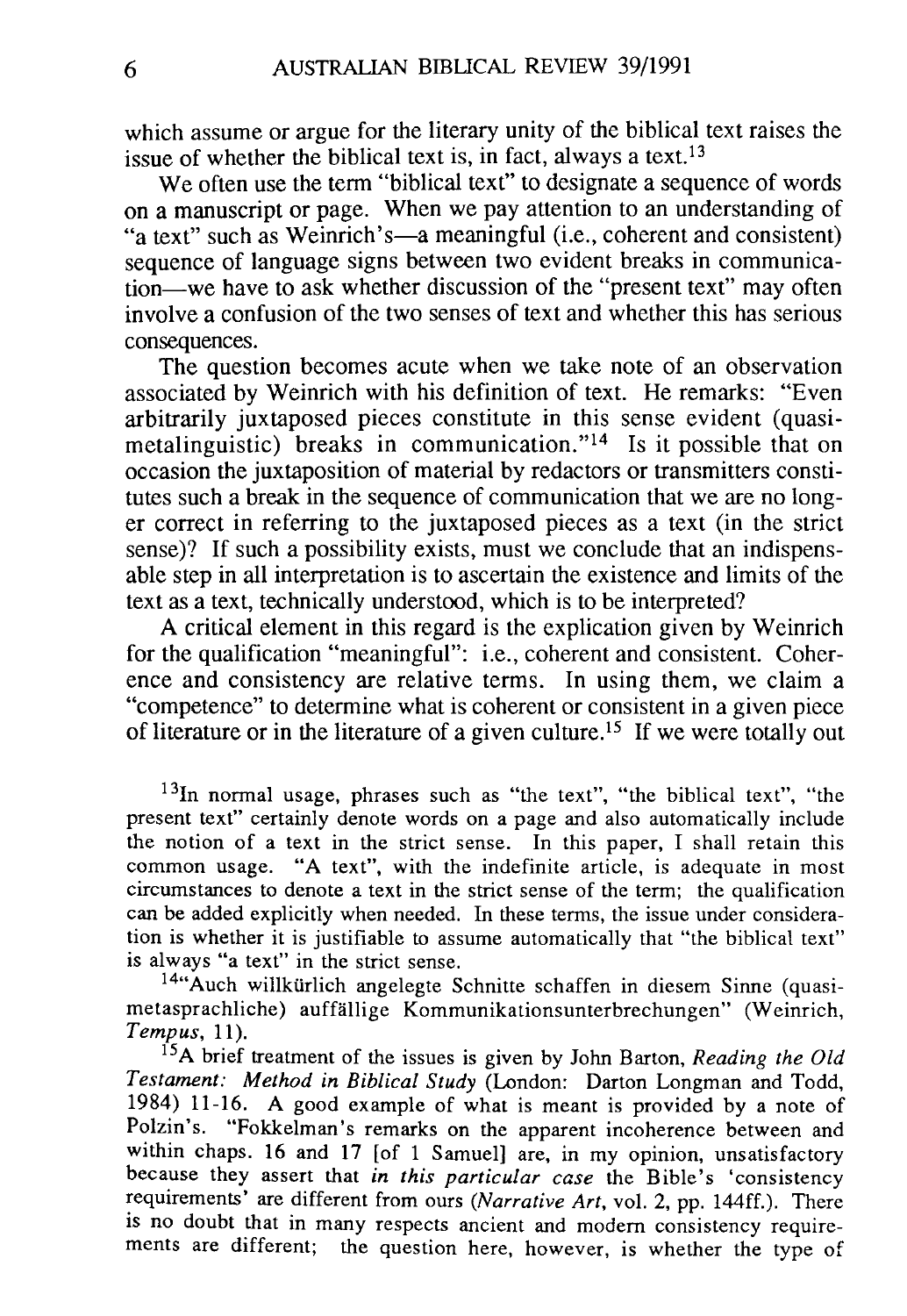which assume or argue for the literary unity of the biblical text raises the issue of whether the biblical text is, in fact, always a text.<sup>13</sup>

We often use the term "biblical text" to designate a sequence of words on a manuscript or page. When we pay attention to an understanding of "a text" such as Weinrich's-a meaningful (i.e., coherent and consistent) sequence of language signs between two evident breaks in communication—we have to ask whether discussion of the "present text" may often involve a confusion of the two senses of text and whether this has serious consequences.

The question becomes acute when we take note of an observation associated by Weinrich with his definition of text. He remarks: "Even arbitrarily juxtaposed pieces constitute in this sense evident (quasimetalinguistic) breaks in communication."14 Is it possible that on occasion the juxtaposition of material by redactors or transmitters constitutes such a break in the sequence of communication that we are no longer correct in referring to the juxtaposed pieces as a text (in the strict sense)? If such a possibility exists, must we conclude that an indispensable step in all interpretation is to ascertain the existence and limits of the text as a text, technically understood, which is to be interpreted?

A critical element in this regard is the explication given by Weinrich for the qualification "meaningful": i.e., coherent and consistent. Coherence and consistency are relative terms. In using them, we claim a "competence" to determine what is coherent or consistent in a given piece of literature or in the literature of a given culture.<sup>15</sup> If we were totally out

<sup>13</sup>In normal usage, phrases such as "the text", "the biblical text", "the present text" certainly denote words on a page and also automatically include the notion of a text in the strict sense. In this paper, I shall retain this common usage. "A text", with the indefinite article, is adequate in most circumstances to denote a text in the strict sense of the tenn; the qualification can be added explicitly when needed. In these terms, the issue under consideration is whether it is justifiable to assume automatically that "the biblical text" is always "a text" in the strict sense.

<sup>14"</sup>Auch willkürlich angelegte Schnitte schaffen in diesem Sinne (quasimetasprachliche) auffallige Kommunikationsunterbrechungen" (Weinrich, *Tempus, 11).* 

<sup>15</sup>A brief treatment of the issues is given by John Barton, *Reading the Old Testament: Method in Biblical Study* (London: Darton Longman and Todd, 1984) 11-16. A good example of what is meant is provided by a note of Polzin's. "Fokkelman's remarks on the apparent incoherence between and within chaps. 16 and 17 [of 1 Samuel] are, in my opinion, unsatisfactory because they assert that *in this particular case* the Bible's 'consistency requirements' are different from ours *(Narrative Art,* vol. 2, pp. 144ff.). There is no doubt that in many respects ancient and modern consistency requirements are different; the question here, however, is whether the type of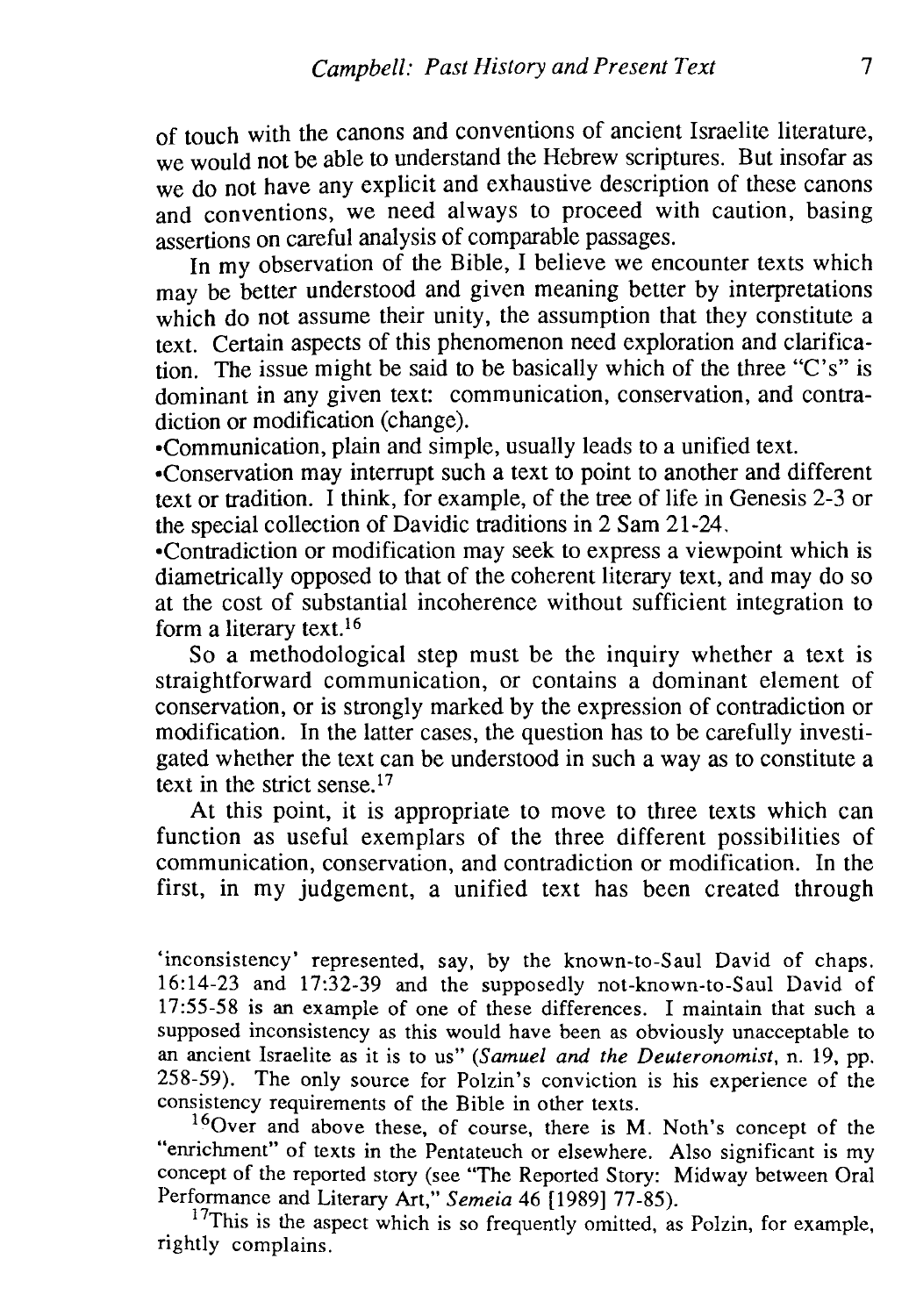of touch with the canons and conventions of ancient Israelite literature, we would not be able to understand the Hebrew scriptures. But insofar as we do not have any explicit and exhaustive description of these canons and conventions, we need always to proceed with caution, basing assertions on careful analysis of comparable passages.

In my observation of the Bible, I believe we encounter texts which may be better understood and given meaning better by interpretations which do not assume their unity, the assumption that they constitute a text. Certain aspects of this phenomenon need exploration and clarification. The issue might be said to be basically which of the three "C's" is dominant in any given text: communication, conservation, and contradiction or modification (change).

• Communication, plain and simple, usually leads to a unified text.

.Conservation may interrupt such a text to point to another and different text or tradition. I think, for example, of the tree of life in Genesis 2-3 or the special collection of Davidic traditions in 2 Sam 21-24.

·Contradiction or modification may seek to express a viewpoint which is diametrically opposed to that of the coherent literary text, and may do so at the cost of substantial incoherence without sufficient integration to form a literary text.16

So a methodological step must be the inquiry whether a text is straightforward communication, or contains a dominant element of conservation, or is strongly marked by the expression of contradiction or modification. In the latter cases, the question has to be carefully investigated whether the text can be understood in such a way as to constitute a text in the strict sense.<sup>17</sup>

At this point, it is appropriate to move to three texts which can function as useful exemplars of the three different possibilities of communication, conservation, and contradiction or modification. In the first, in my judgement, a unified text has been created through

'inconsistency' represented, say, by the known-to-Saul David of chaps. 16:14-23 and 17:32-39 and the supposedly not-known-to-Saul David of 17 :55-58 is an example of one of these differences. I maintain that such a supposed inconsistency as this would have been as obviously unacceptable to an ancient Israelite as it is to us" *(Samuel and the Deuteronomist,* n. 19, pp. 258-59). The only source for Polzin's conviction is his experience of the consistency requirements of the Bible in other texts.

160ver and above these, of course, there is M. Noth's concept of the "enrichment" of texts in the Pentateuch or elsewhere. Also significant is my concept of the reported story (see "The Reported Story: Midway between Oral Performance and Literary Art," *Semeia* 46 [1989] 77-85).

<sup>17</sup>This is the aspect which is so frequently omitted, as Polzin, for example, rightly complains.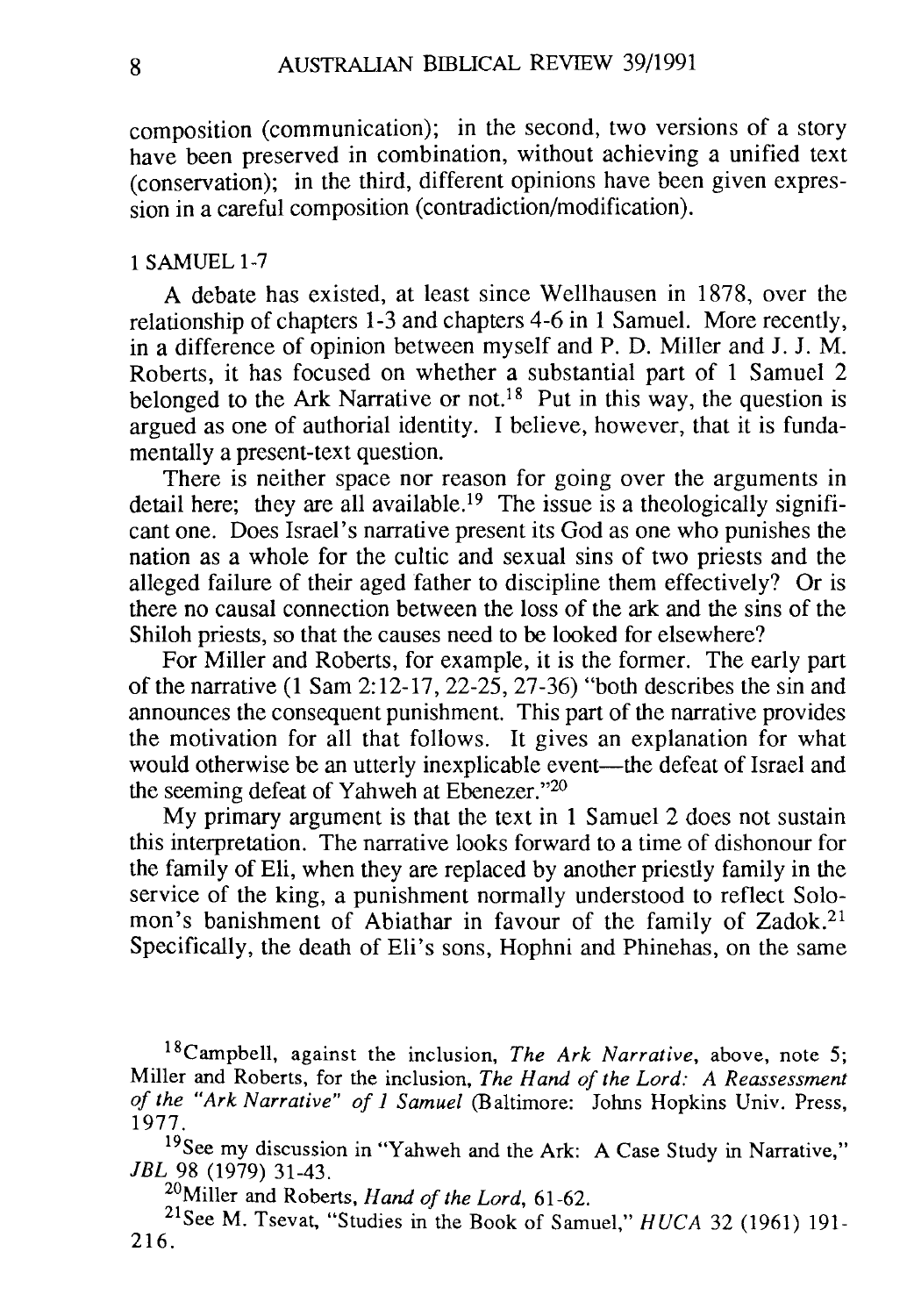composition (communication); in the second, two versions of a story have been preserved in combination, without achieving a unified text (conservation); in the third, different opinions have been given expression in a careful composition (contradiction/modification).

#### 1 SAMUEL 1-7

A debate has existed, at least since Wellhausen in 1878, over the relationship of chapters 1-3 and chapters 4-6 in 1 Samuel. More recently, in a difference of opinion between myself and P. D. Miller and J. J. M. Roberts, it has focused on whether a substantial part of 1 Samuel 2 belonged to the Ark Narrative or not.<sup>18</sup> Put in this way, the question is argued as one of authorial identity. I believe, however, that it is fundamentally a present-text question.

There is neither space nor reason for going over the arguments in detail here; they are all available.<sup>19</sup> The issue is a theologically significant one. Does Israel's narrative present its God as one who punishes the nation as a whole for the cultic and sexual sins of two priests and the alleged failure of their aged father to discipline them effectively? Or is there no causal connection between the loss of the ark and the sins of the Shiloh priests, so that the causes need to be looked for elsewhere?

For Miller and Roberts, for example, it is the former. The early part of the narrative  $(1 \text{ Sam } 2:12-17, 22-25, 27-36)$  "both describes the sin and announces the consequent punishment. This part of the narrative provides the motivation for all that follows. It gives an explanation for what would otherwise be an utterly inexplicable event—the defeat of Israel and the seeming defeat of Yahweh at Ebenezer."20

My primary argument is that the text in 1 Samuel 2 does not sustain this interpretation. The narrative looks forward to a time of dishonour for the family of Eli, when they are replaced by another priestly family in the service of the king, a punishment normally understood to reflect Solomon's banishment of Abiathar in favour of the family of Zadok.<sup>21</sup> Specifically, the death of Eli's sons, Hophni and Phinehas, on the same

18Campbell, against the inclusion, *The Ark Narrative,* above, note 5; Miller and Roberts, for the inclusion, *The Hand of the Lord: A Reassessment of the "Ark Narrative" of* 1 *Samuel* (Baltimore: Johns Hopkins Univ. Press, 1977.

<sup>19</sup>See my discussion in "Yahweh and the Ark: A Case Study in Narrative," *IBL* 98 (1979) 31-43.

20Miller and Roberts, *Hand of the Lord, 61-62.* 

21See M. Tsevat, "Studies in the Book of Samuel," *HUCA* 32 (1961) 191- 216.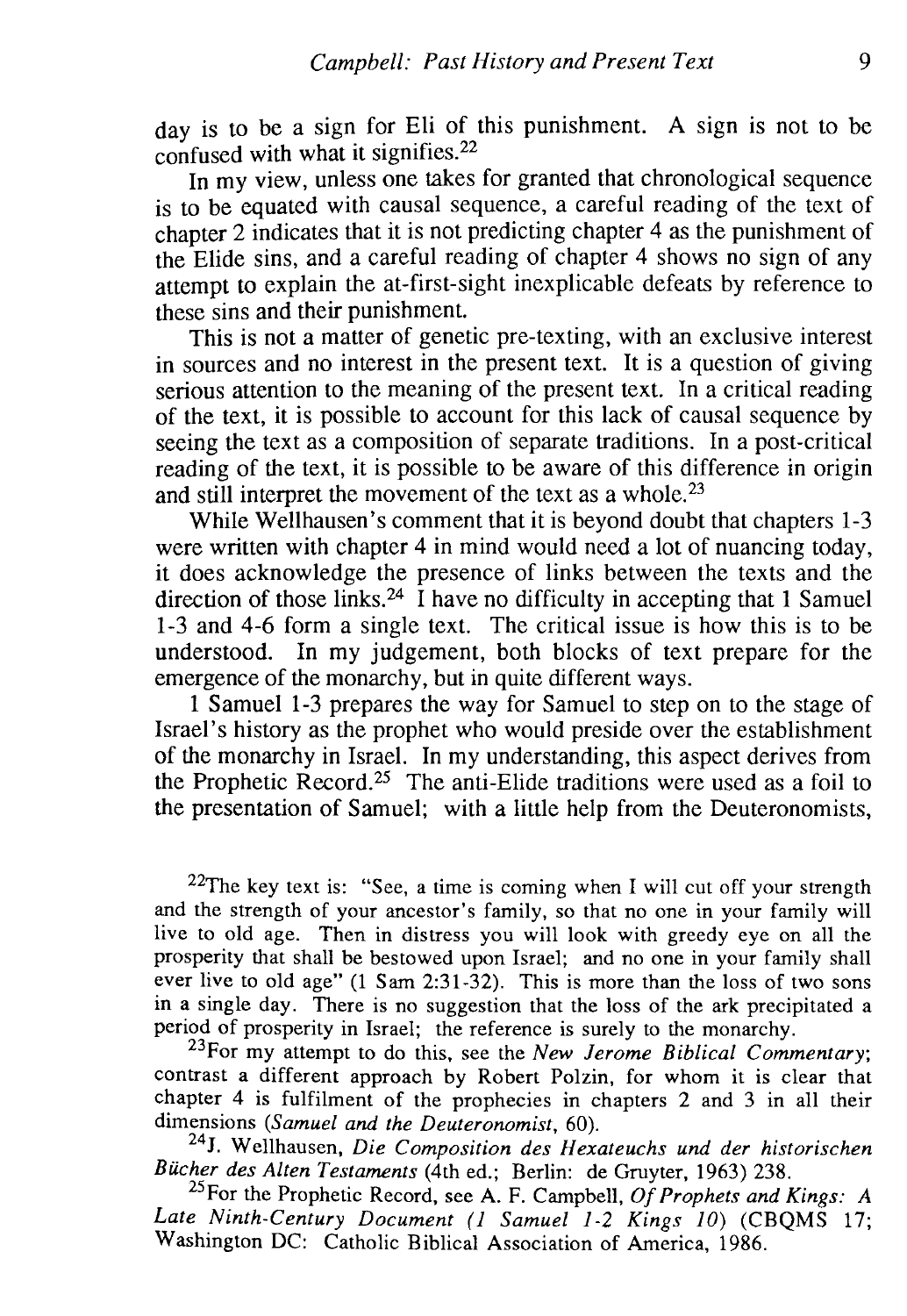day is to be a sign for Eli of this punishment. A sign is not to be confused with what it signifies.<sup>22</sup>

In my view, unless one takes for granted that chronological sequence is to be equated with causal sequence, a careful reading of the text of chapter 2 indicates that it is not predicting chapter 4 as the punishment of the Elide sins, and a careful reading of chapter 4 shows no sign of any attempt to explain the at-first-sight inexplicable defeats by reference to these sins and their punishment.

This is not a matter of genetic pre-texting, with an exclusive interest in sources and no interest in the present text. It is a question of giving serious attention to the meaning of the present text. In a critical reading of the text, it is possible to account for this lack of causal sequence by seeing the text as a composition of separate traditions. In a post-critical reading of the text, it is possible to be aware of this difference in origin and still interpret the movement of the text as a whole.<sup>23</sup>

While Wellhausen's comment that it is beyond doubt that chapters 1-3 were written with chapter 4 in mind would need a lot of nuancing today, it does acknowledge the presence of links between the texts and the direction of those links.<sup>24</sup> I have no difficulty in accepting that 1 Samuel 1-3 and 4-6 form a single text. The critical issue is how this is to be understood. In my judgement, both blocks of text prepare for the emergence of the monarchy, but in quite different ways.

1 Samuel 1-3 prepares the way for Samuel to step on to the stage of Israel's history as the prophet who would preside over the establishment of the monarchy in Israel. In my understanding, this aspect derives from the Prophetic Record.<sup>25</sup> The anti-Elide traditions were used as a foil to the presentation of Samuel; with a little help from the Deuteronomists,

<sup>22</sup>The key text is: "See, a time is coming when I will cut off your strength and the strength of your ancestor's family, so that no one in your family will live to old age. Then in distress you will look with greedy eye on all the prosperity that shall be bestowed upon Israel; and no one in your family shall ever live to old age" (1 Sam 2:31-32). This is more than the loss of two sons in a single day. There is no suggestion that the loss of the ark precipitated a period of prosperity in Israel; the reference is surely to the monarchy.

23Por my attempt to do this, see the *New Jerome Biblical Commentary;*  contrast a different approach by Robert Polzin, for whom it is clear that chapter 4 is fulfilment of the prophecies in chapters 2 and 3 in all their dimensions *(Samuel and the Deuteronomist, 60).* 

24J. Wellhausen, *Die Composition des Hexateuchs und der historischen Bucher des Alten Testaments* (4th ed.; Berlin: de Gruyter, 1963) 238.

<sup>25</sup>For the Prophetic Record, see A. F. Campbell, *Of Prophets and Kings: A Late Ninth-Century Document* (1 *Samuel* 1-2 *Kings 10)* (CBQMS 17; Washington DC: Catholic Biblical Association of America, 1986.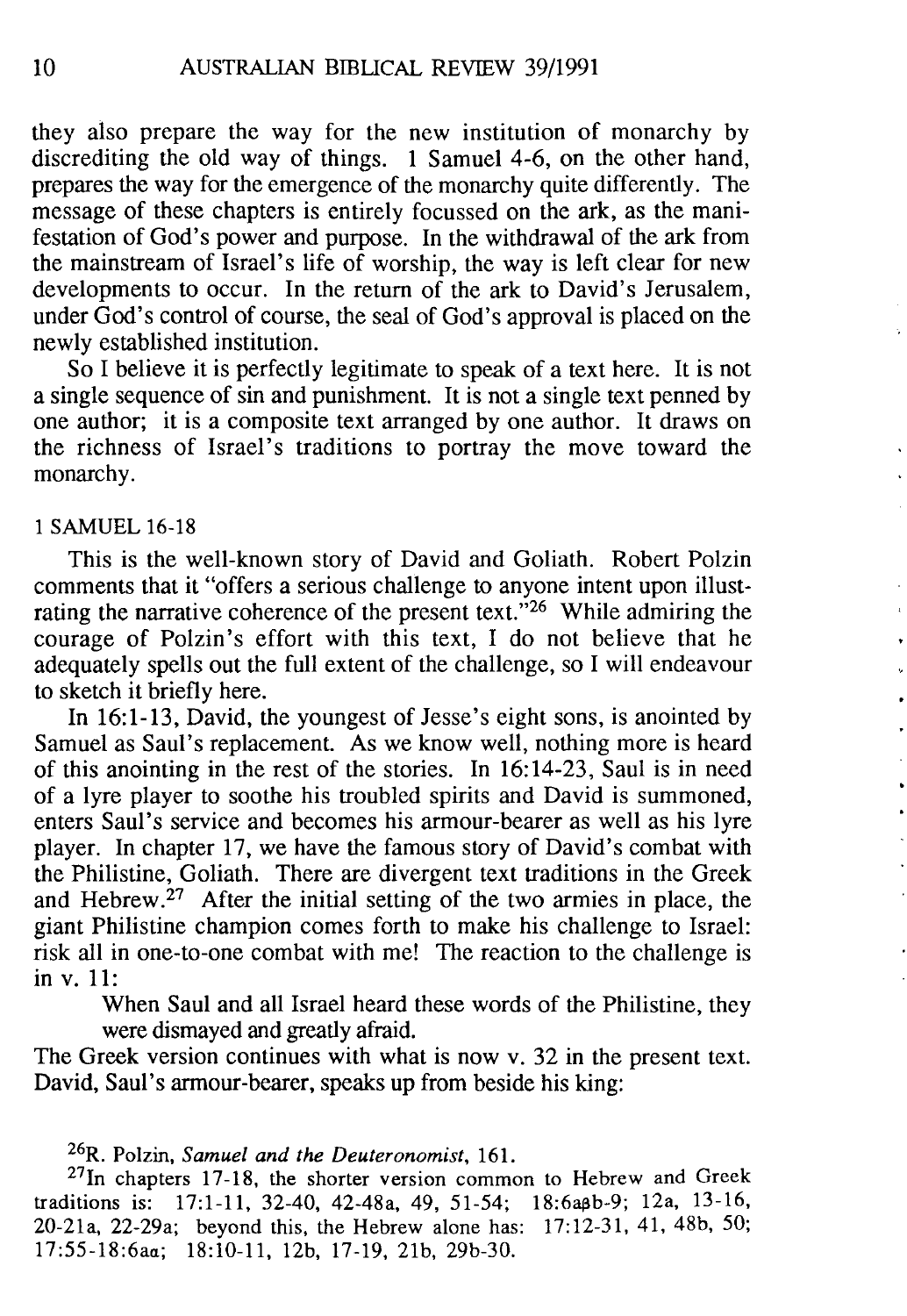they also prepare the way for the new institution of monarchy by discrediting the old way of things. 1 Samuel 4-6, on the other hand, prepares the way for the emergence of the monarchy quite differently. The message of these chapters is entirely focussed on the ark, as the manifestation of God's power and purpose. In the withdrawal of the ark from the mainstream of Israel's life of worship, the way is left clear for new developments to occur. In the return of the ark to David's Jerusalem, under God's control of course, the seal of God's approval is placed on the newly established institution.

So I believe it is perfectly legitimate to speak of a text here. It is not a single sequence of sin and punishment. It is not a single text penned by one author; it is a composite text arranged by one author. It draws on the richness of Israel's traditions to portray the move toward the monarchy.

### 1 SAMUEL 16-18

This is the well-known story of David and Goliath. Robert Polzin comments that it "offers a serious challenge to anyone intent upon illustrating the narrative coherence of the present text."<sup>26</sup> While admiring the courage of Polzin's effort with this text, I do not believe that he adequately spells out the full extent of the challenge, so I will endeavour to sketch it briefly here.

In 16:1-13, David, the youngest of Jesse's eight sons, is anointed by Samuel as Saul's replacement. As we know well, nothing more is heard of this anointing in the rest of the stories. In 16: 14-23, Saul is in need of a lyre player to soothe his troubled spirits and David is summoned, enters Saul's service and becomes his armour-bearer as well as his lyre player. In chapter 17, we have the famous story of David's combat with the Philistine, Goliath. There are divergent text traditions in the Greek and Hebrew.<sup>27</sup> After the initial setting of the two armies in place, the giant Philistine champion comes forth to make his challenge to Israel: risk all in one-to-one combat with me! The reaction to the challenge is in v. 11:

When Saul and all Israel heard these words of the Philistine, they were dismayed and greatly afraid.

The Greek version continues with what is now v. 32 in the present text. David, Saul's armour-bearer, speaks up from beside his king:

26R. Polzin, *Samuel and the Deuteronomist, 161.* 

 $27$ In chapters 17-18, the shorter version common to Hebrew and Greek traditions is: 17:1-11, 32-40, 42-48a, 49, 51-54; 18:6apb-9; 12a, 13-16, 20-21a, 22-29a; beyond this, the Hebrew alone has: 17:12-31,41, 48b, 50; 17:55-18:6aa; 18:10-11, 12b, 17-19, 21b, 29b-30.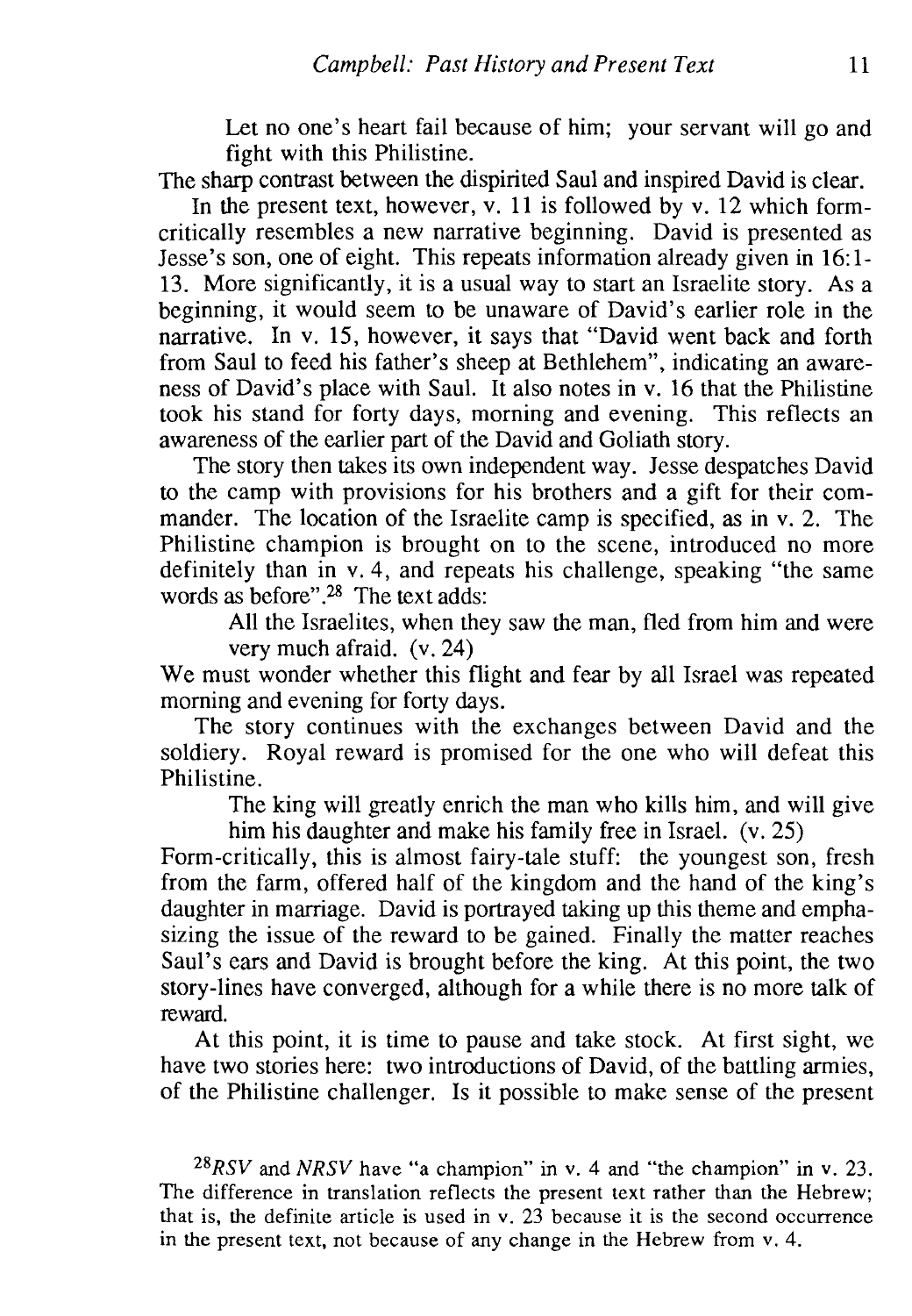Let no one's heart fail because of him; your servant will go and fight with this Philistine.

The sharp contrast between the dispirited Saul and inspired David is clear.

In the present text, however, v. 11 is followed by v. 12 which formcritically resembles a new narrative beginning. David is presented as Jesse's son, one of eight. This repeats information already given in 16: l-13. More significantly, it is a usual way to start an Israelite story. As a beginning, it would seem to be unaware of David's earlier role in the narrative. In v. 15, however, it says that "David went back and forth from Saul to feed his father's sheep at Bethlehem", indicating an awareness of David's place with Saul. It also notes in v. 16 that the Philistine took his stand for forty days, morning and evening. This reflects an awareness of the earlier part of the David and Goliath story.

The story then takes its own independent way. Jesse despatches David to the camp with provisions for his brothers and a gift for their commander. The location of the Israelite camp is specified, as in v. 2. The Philistine champion is brought on to the scene, introduced no more definitely than in v. 4, and repeats his challenge, speaking "the same words as before".28 The text adds:

All the Israelites, when they saw the man, fled from him and were very much afraid.  $(v. 24)$ 

We must wonder whether this flight and fear by all Israel was repeated morning and evening for forty days.

The story continues with the exchanges between David and the soldiery. Royal reward is promised for the one who will defeat this Philistine.

The king will greatly enrich the man who kills him, and will give

him his daughter and make his family free in Israel.  $(v, 25)$ Form-critically, this is almost fairy-tale stuff: the youngest son, fresh

from the farm, offered half of the kingdom and the hand of the king's daughter in marriage. David is portrayed taking up this theme and emphasizing the issue of the reward to be gained. Finally the matter reaches Saul's ears and David is brought before the king. At this point, the two story-lines have converged, although for a while there is no more talk of reward.

At this point, it is time to pause and take stock. At first sight, we have two stories here: two introductions of David, of the battling armies, of the Philistine challenger. Is it possible to make sense of the present

*28RSV* and *NRSV* have "a champion" in v. 4 and "the champion" in v. 23. The difference in translation reflects the present text rather than the Hebrew; that is, the definite article is used in  $v$ . 23 because it is the second occurrence in the present text, not because of any change in the Hebrew from v. 4.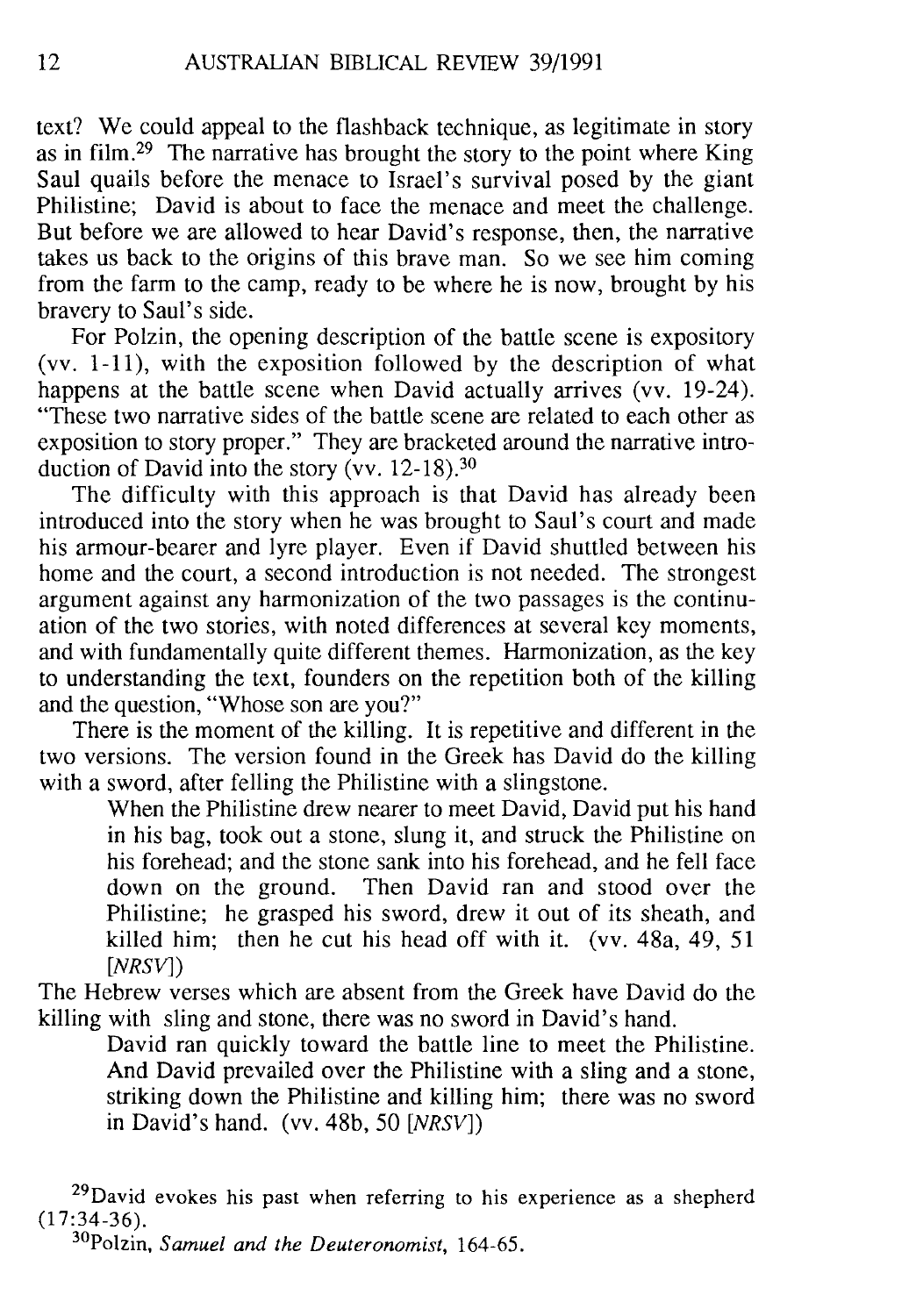text? We could appeal to the flashback technique, as legitimate in story as in film.<sup>29</sup> The narrative has brought the story to the point where King Saul quails before the menace to Israel's survival posed by the giant Philistine; David is about to face the menace and meet the challenge. But before we are allowed to hear David's response, then, the narrative takes us back to the origins of this brave man. So we see him coming from the farm to the camp, ready to be where he is now, brought by his bravery to Saul's side.

For Polzin, the opening description of the battle scene is expository (vv. 1-11), with the exposition followed by the description of what happens at the battle scene when David actually arrives (vv. 19-24). "These two narrative sides of the battle scene are related to each other as exposition to story proper." They are bracketed around the narrative introduction of David into the story (vv. 12-18).30

The difficulty with this approach is that David has already been introduced into the story when he was brought to Saul's court and made his armour-bearer and lyre player. Even if David shuttled between his home and the court, a second introduction is not needed. The strongest argument against any harmonization of the two passages is the continuation of the two stories, with noted differences at several key moments, and with fundamentally quite different themes. Harmonization, as the key to understanding the text, founders on the repetition both of the killing and the question, "Whose son are you?"

There is the moment of the killing. It is repetitive and different in the two versions. The version found in the Greek has David do the killing with a sword, after felling the Philistine with a slingstone.

When the Philistine drew nearer to meet David, David put his hand in his bag, took out a stone, slung it, and struck the Philistine on his forehead; and the stone sank into his forehead, and he fell face down on the ground. Then David ran and stood over the Philistine; he grasped his sword, drew it out of its sheath, and killed him; then he cut his head off with it. (vv. 48a, 49, 51 *[NRSV))* 

The Hebrew verses which are absent from the Greek have David do the killing with sling and stone, there was no sword in David's hand.

David ran quickly toward the battle line to meet the Philistine. And David prevailed over the Philistine with a sling and a stone, striking down the Philistine and killing him; there was no sword in David's hand. (vv. 48b, 50 *[NRSV))* 

<sup>29</sup>David evokes his past when referring to his experience as a shepherd (17:34-36).

30Polzin. *Samuel and the Deuteronomist.* 164-65.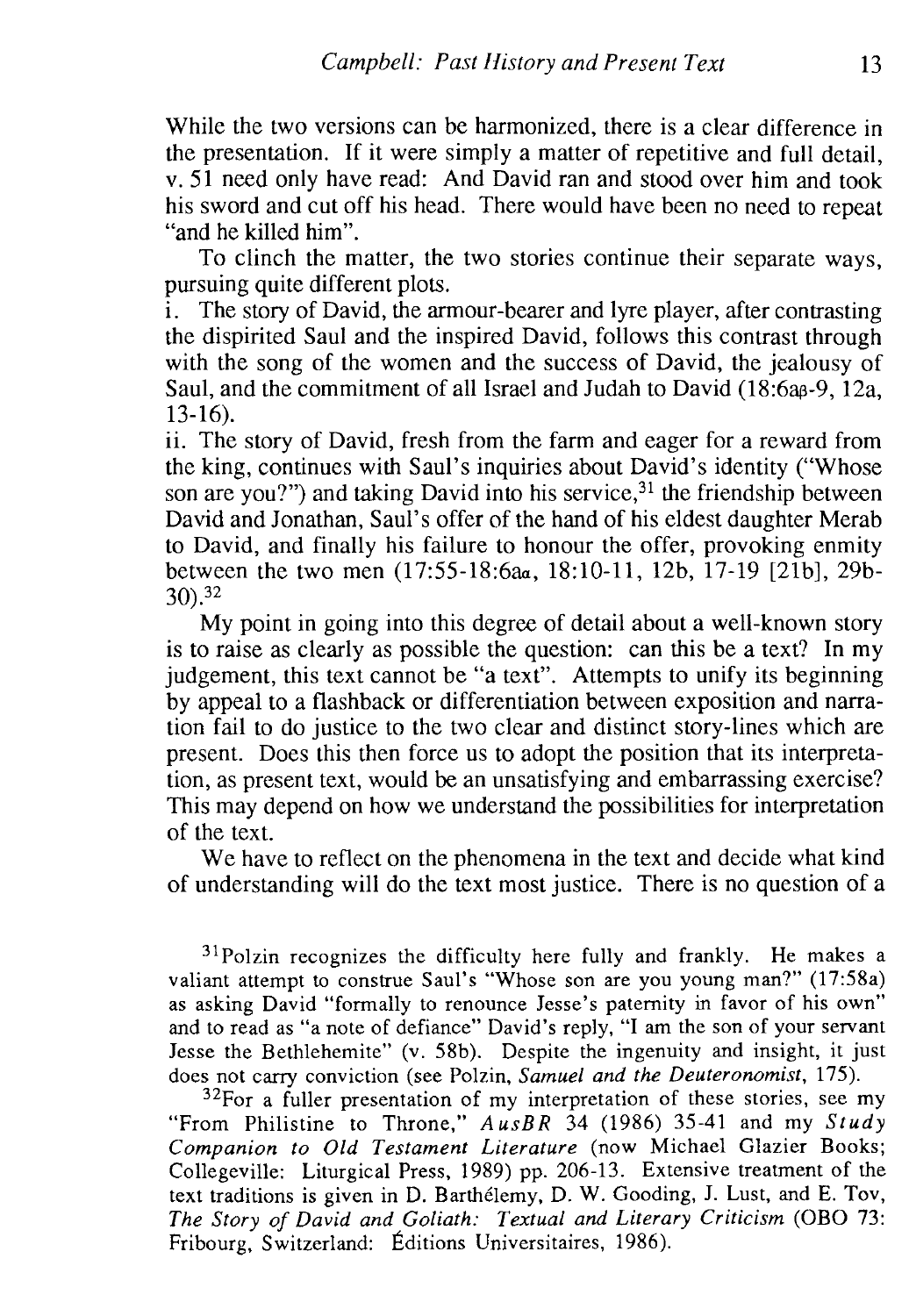While the two versions can be harmonized, there is a clear difference in the presentation. If it were simply a matter of repetitive and full detail, v. 51 need only have read: And David ran and stood over him and took his sword and cut off his head. There would have been no need to repeat "and he killed him".

To clinch the matter, the two stories continue their separate ways, pursuing quite different plots.

i. The story of David, the armour-bearer and lyre player, after contrasting the dispirited Saul and the inspired David, follows this contrast through with the song of the women and the success of David, the jealousy of Saul, and the commitment of all Israel and Judah to David  $(18.6a<sub>8</sub>-9, 12a,$ 13-16).

ii. The story of David, fresh from the farm and eager for a reward from the king, continues with Saul's inquiries about David's identity ("Whose son are you?") and taking David into his service.<sup>31</sup> the friendship between David and lonathan, Saul's offer of the hand of his eldest daughter Merab to David, and finally his failure to honour the offer, provoking enmity between the two men (17:55-18:6aa, 18:10-11, 12b, 17-19 [21b], 29b-30).32

My point in going into this degree of detail about a well-known story is to raise as clearly as possible the question: can this be a text? In my judgement, this text cannot be "a text". Attempts to unify its beginning by appeal to a flashback or differentiation between exposition and narration fail to do justice to the two clear and distinct story-lines which are present. Does this then force us to adopt the position that its interpretation, as present text, would be an unsatisfying and embarrassing exercise? This may depend on how we understand the possibilities for interpretation of the text.

We have to reflect on the phenomena in the text and decide what kind of understanding will do the text most justice. There is no question of a

<sup>31</sup>Polzin recognizes the difficulty here fully and frankly. He makes a valiant attempt to construe Saul's "Whose son are you young man?" (17:58a) as asking David "formally to renounce Jesse's paternity in favor of his own" and to read as "a note of defiance" David's reply, "I am the son of your servant Jesse the Bethlehemite" (v. 58b). Despite the ingenuity and insight, it just does not carry conviction (see Polzin, *Samuel and the Deuteronomist, 175).* 

<sup>32</sup>For a fuller presentation of my interpretation of these stories, see my "Prom Philistine to Throne," *AusBR* 34 (1986) 35-41 and my *Study Companion to Old Testament Literature* (now Michael Glazier Books; Collegeville: Liturgical Press, 1989) pp. 206-13. Extensive treatment of the text traditions is given in D. Barthelemy, D. W. Gooding, J. Lust, and E. Tov, *The Story of David and Goliath: Textual and Literary Criticism* (OBO 73: Fribourg, Switzerland: Éditions Universitaires, 1986).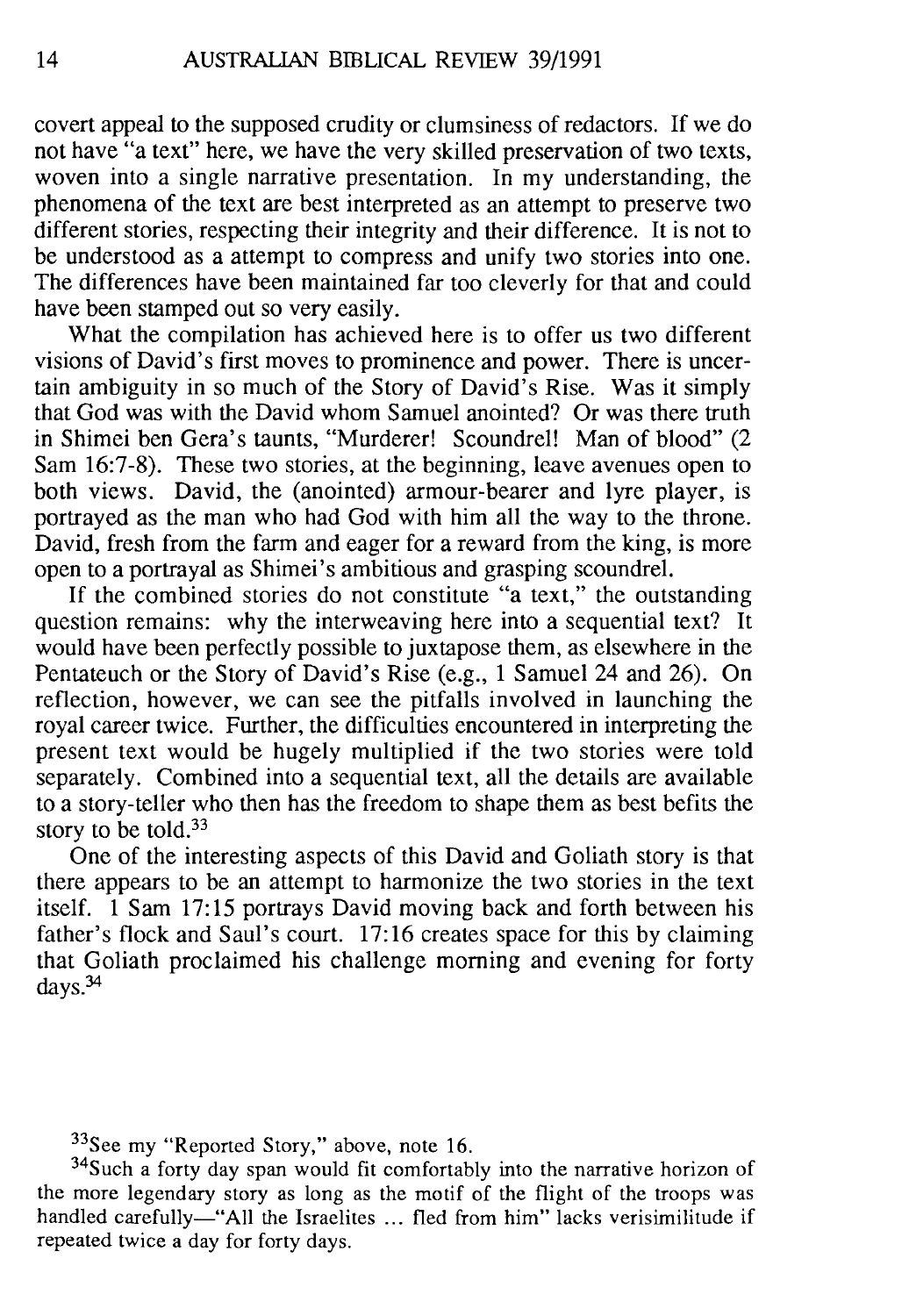covert appeal to the supposed crudity or clumsiness of redactors. If we do not have "a text" here, we have the very skilled preservation of two texts, woven into a single narrative presentation. In my understanding, the phenomena of the text are best interpreted as an attempt to preserve two different stories, respecting their integrity and their difference. It is not to be understood as a attempt to compress and unify two stories into one. The differences have been maintained far too cleverly for that and could have been stamped out so very easily.

What the compilation has achieved here is to offer us two different visions of David's first moves to prominence and power. There is uncertain ambiguity in so much of the Story of David's Rise. Was it simply that God was with the David whom Samuel anointed? Or was there truth in Shimei ben Gera's taunts, "Murderer! Scoundrel! Man of blood" (2 Sam 16:7-8). These two stories, at the beginning, leave avenues open to both views. David, the (anointed) armour-bearer and lyre player, is portrayed as the man who had God with him all the way to the throne. David, fresh from the farm and eager for a reward from the king, is more open to a portrayal as Shimei's ambitious and grasping scoundrel.

If the combined stories do not constitute "a text," the outstanding question remains: why the interweaving here into a sequential text? It would have been perfectly possible to juxtapose them, as elsewhere in the Pentateuch or the Story of David's Rise (e.g., 1 Samuel 24 and 26). On reflection, however, we can see the pitfalls involved in launching the royal career twice. Further, the difficulties encountered in interpreting the present text would be hugely multiplied if the two stories were told separately. Combined into a sequential text, all the details are available to a story-teller who then has the freedom to shape them as best befits the story to be told.<sup>33</sup>

One of the interesting aspects of this David and Goliath story is that there appears to be an attempt to harmonize the two stories in the text itself. 1 Sam 17: 15 portrays David moving back and forth between his father's flock and Saul's court. 17:16 creates space for this by claiming that Goliath proclaimed his challenge morning and evening for forty  $d$ ays.<sup>34</sup>

<sup>33</sup>See my "Reported Story," above, note 16.

<sup>34</sup>Such a forty day span would fit comfortably into the narrative horizon of the more legendary story as long as the motif of the flight of the troops was handled carefully-"All the Israelites ... fled from him" lacks verisimilitude if repeated twice a day for forty days.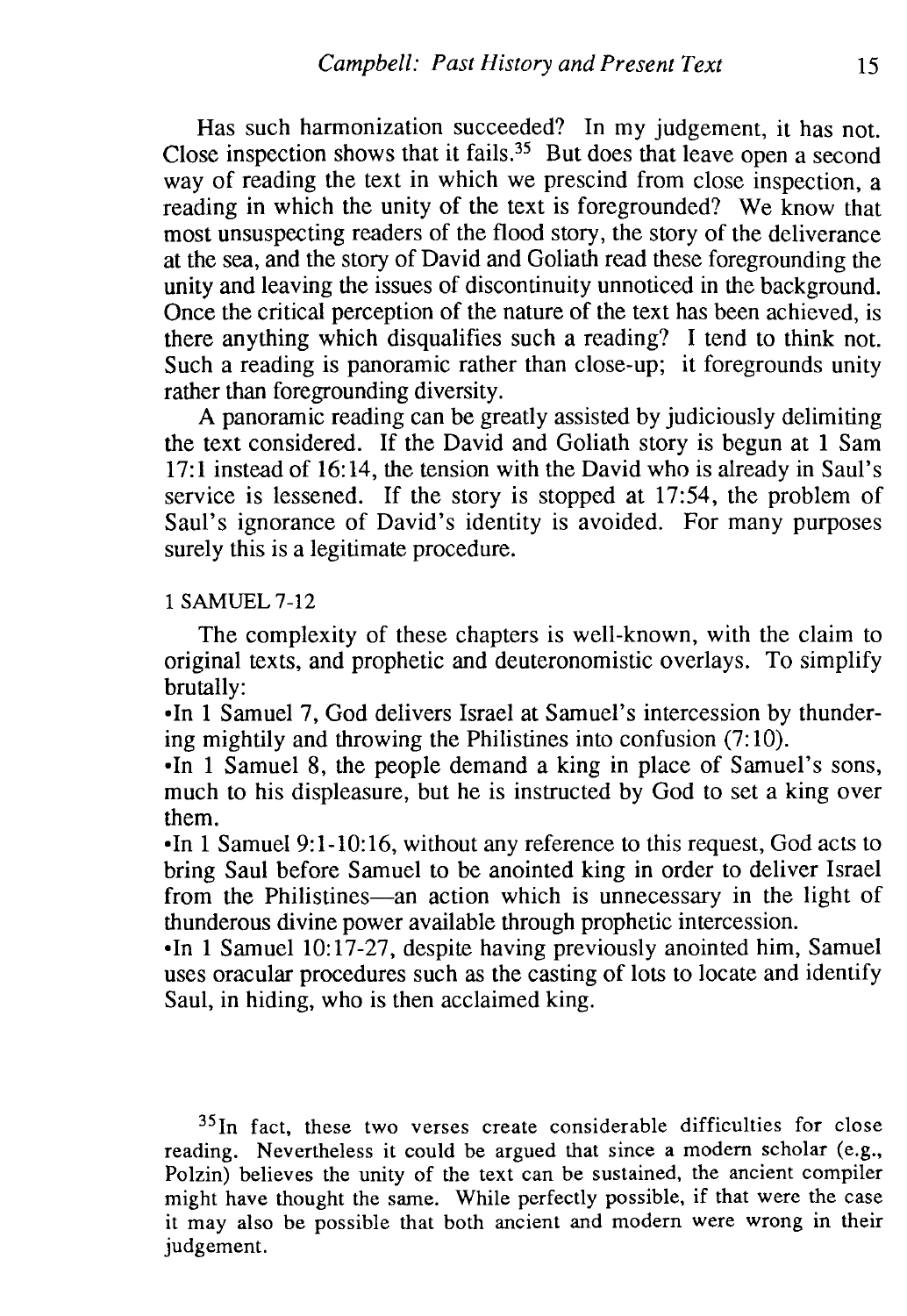Has such harmonization succeeded? In my judgement, it has not. Close inspection shows that it fails.35 But does that leave open a second way of reading the text in which we prescind from close inspection, a reading in which the unity of the text is foregrounded? We know that most unsuspecting readers of the flood story, the story of the deliverance at the sea, and the story of David and Goliath read these foregrounding the unity and leaving the issues of discontinuity unnoticed in the background. Once the critical perception of the nature of the text has been achieved, is there anything which disqualifies such a reading? I tend to think not. Such a reading is panoramic rather than close-up; it foregrounds unity rather than foregrounding diversity.

A panoramic reading can be greatly assisted by judiciously delimiting the text considered. If the David and Goliath story is begun at 1 Sam 17: 1 instead of 16: 14, the tension with the David who is already in Saul's service is lessened. If the story is stopped at 17:54, the problem of Saul's ignorance of David's identity is avoided. For many purposes surely this is a legitimate procedure.

#### 1 SAMUEL 7-12

The complexity of these chapters is well-known, with the claim to original texts, and prophetic and deuteronomistic overlays. To simplify brutally:

**-In** 1 Samuel 7, God delivers Israel at Samuel's intercession by thundering mightily and throwing the Philistines into confusion (7: 10).

**-In** 1 Samuel 8, the people demand a king in place of Samuel's sons, much to his displeasure, but he is instructed by God to set a king over them.

-In 1 Samuel 9: 1-10: 16, without any reference to this request, God acts to bring Saul before Samuel to be anointed king in order to deliver Israel from the Philistines—an action which is unnecessary in the light of thunderous divine power available through prophetic intercession.

**-In** 1 Samuel 10:17-27, despite having previously anointed him, Samuel uses oracular procedures such as the casting of lots to locate and identify Saul, in hiding, who is then acclaimed king.

 $35$ In fact, these two verses create considerable difficulties for close reading. Nevertheless it could be argued that since a modem scholar (e.g., Polzin) believes the unity of the text can be sustained, the ancient compiler might have thought the same. While perfectly possible, if that were the case it may also be possible that both ancient and modern were wrong in their judgement.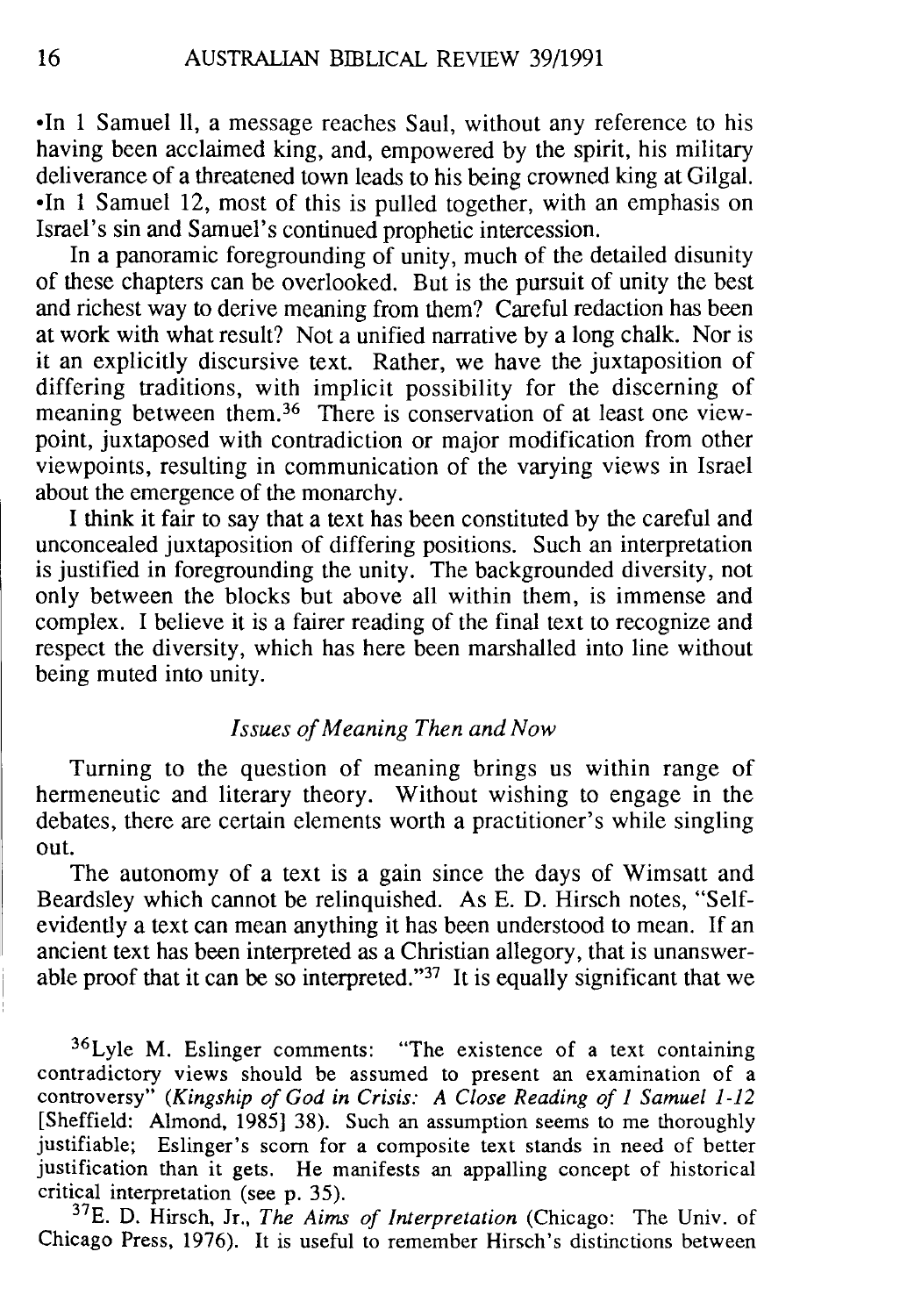-In 1 Samuel 11, a message reaches Saul, without any reference to his having been acclaimed king, and, empowered by the spirit, his military deliverance of a threatened town leads to his being crowned king at Gilgal. -In 1 Samuel 12, most of this is pulled together, with an emphasis on Israel's sin and Samuel's continued prophetic intercession.

In a panoramic foregrounding of unity, much of the detailed disunity of these chapters can be overlooked. But is the pursuit of unity the best and richest way to derive meaning from them? Careful redaction has been at work with what result? Not a unified narrative by a long chalk. Nor is it an explicitly discursive text. Rather, we have the juxtaposition of differing traditions, with implicit possibility for the discerning of meaning between them.<sup>36</sup> There is conservation of at least one viewpoint, juxtaposed with contradiction or major modification from other viewpoints, resulting in communication of the varying views in Israel about the emergence of the monarchy.

I think it fair to say that a text has been constituted by the careful and unconcealed juxtaposition of differing positions. Such an interpretation is justified in foregrounding the unity. The backgrounded diversity, not only between the blocks but above all within them, is immense and complex. I believe it is a fairer reading of the final text to recognize and respect the diversity, which has here been marshalled into line without being muted into unity.

## *Issues of Meaning Then and Now*

Turning to the question of meaning brings us within range of hermeneutic and literary theory. Without wishing to engage in the debates, there are certain elements worth a practitioner's while singling out.

The autonomy of a text is a gain since the days of Wimsatt and Beardsley which cannot be relinquished. As E. D. Hirsch notes, "Selfevidently a text can mean anything it has been understood to mean. If an ancient text has been interpreted as a Christian allegory, that is unanswerable proof that it can be so interpreted." $37$  It is equally significant that we

 $36$  Lyle M. Eslinger comments: "The existence of a text containing contradictory views should be assumed to present an examination of a controversy" *(Kingship of God in Crisis:* A *Close Reading of* 1 *Samuel 1-12*  [Sheffield: Almond, 1985] 38). Such an assumption seems to me thoroughly justifiable; Eslinger's scorn for a composite text stands in need of better justification than it gets. He manifests an appalling concept of historical critical interpretation (see p. 35).

37E. D. Hirsch, Jr., *The Aims of Interpretation* (Chicago: The Univ. of Chicago Press, 1976). It is useful to remember Hirsch's distinctions between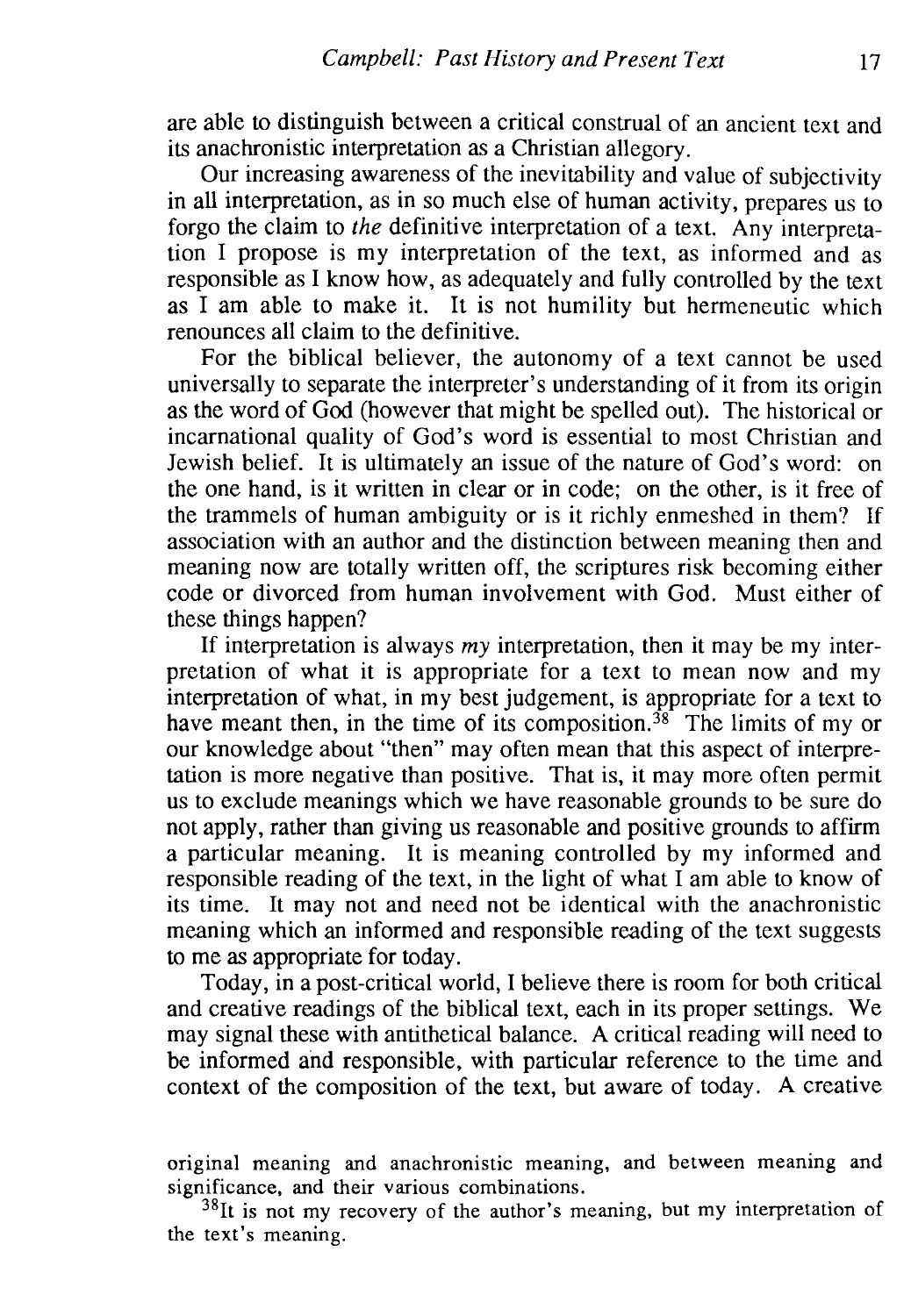are able to distinguish between a critical construal of an ancient text and its anachronistic interpretation as a Christian allegory.

Our increasing awareness of the inevitability and value of subjectivity in all interpretation, as in so much else of human activity, prepares us to forgo the claim to *the* definitive interpretation of a text. Any interpretation I propose is my interpretation of the text, as informed and as responsible as I know how, as adequately and fully controlled by the text as I am able to make it. It is not humility but hermeneutic which renounces all claim to the definitive.

For the biblical believer, the autonomy of a text cannot be used universally to separate the interpreter's understanding of it from its origin as the word of God (however that might be spelled out). The historical or incarnational quality of God's word is essential to most Christian and Jewish belief. It is ultimately an issue of the nature of God's word: on the one hand, is it written in clear or in code; on the other, is it free of the trammels of human ambiguity or is it richly enmeshed in them? If association with an author and the distinction between meaning then and meaning now are totally written off, the scriptures risk becoming either code or divorced from human involvement with God. Must either of these things happen?

If interpretation is always  $my$  interpretation, then it may be my interpretation of what it is appropriate for a text to mean now and my interpretation of what, in my best judgement, is appropriate for a text to have meant then, in the time of its composition.<sup>38</sup> The limits of my or our knowledge about "then" may often mean that this aspect of interpretation is more negative than positive. That is, it may more often permit us to exclude meanings which we have reasonable grounds to be sure do not apply, rather than giving us reasonable and positive grounds to affirm a particular meaning. It is meaning controlled by my informed and responsible reading of the text, in the light of what I am able to know of its time. It may not and need not be identical with the anachronistic meaning which an informed and responsible reading of the text suggests to me as appropriate for today.

Today, in a post-critical world, I believe there is room for both critical and creative readings of the biblical text, each in its proper settings. We may signal these with antithetical balance. A critical reading will need to be informed and responsible, with particular reference to the time and context of the composition of the text, but aware of today. A creative

original meaning and anachronistic meaning, and between meaning and significance, and their various combinations.

<sup>&</sup>lt;sup>38</sup>It is not my recovery of the author's meaning, but my interpretation of the text's meaning.